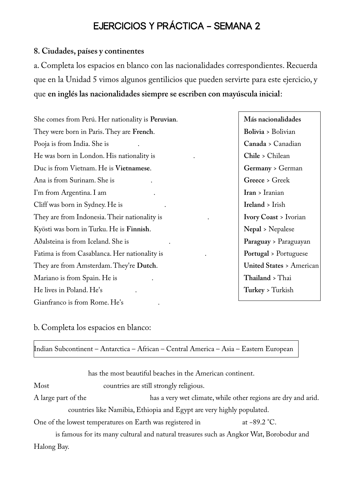# EJERCICIOS Y PRÁCTICA – SEMANA 2

#### **8. Ciudades, países y continentes**

a. Completa los espacios en blanco con las nacionalidades correspondientes. Recuerda que en la Unidad 5 vimos algunos gentilicios que pueden servirte para este ejercicio, y que **en inglés las nacionalidades siempre se escriben con mayúscula inicial**:

She comes from Perú. Her nationality is Peruvian. **Más nacionalidades** They were born in Paris. They are **French**. **Bolivia** > Bolivian Pooja is from India. She is . **Canada** > Canadian **Canada** > Canadian He was born in London. His nationality is . **Chile** > Chilean Duc is from Vietnam. He is Vietnamese. **Germany** > German Ana is from Surinam. She is . **Greece** > Greek I'm from Argentina. I am . Cliff was born in Sydney. He is . **Ireland** > Irish They are from Indonesia. Their nationality is **Ivory Coast** > Ivorian Kyösti was born in Turku. He is **Finnish**. **Nepal** > Nepalese Aðalsteina is from Iceland. She is **Paraguay** > Paraguayan Fatima is from Casablanca. Her nationality is **Portugal** > Portuguese They are from Amsterdam. They're **Dutch**. **United States** > American Mariano is from Spain. He is **Thailand** > Thai He lives in Poland. He's . **Turkey** > Turkish Gianfranco is from Rome. He's .

b. Completa los espacios en blanco:

Indian Subcontinent – Antarctica – African – Central America – Asia – Eastern European

| has the most beautiful beaches in the American continent.                               |                                                               |  |
|-----------------------------------------------------------------------------------------|---------------------------------------------------------------|--|
| Most                                                                                    | countries are still strongly religious.                       |  |
| A large part of the                                                                     | has a very wet climate, while other regions are dry and arid. |  |
| countries like Namibia, Ethiopia and Egypt are very highly populated.                   |                                                               |  |
| at $-89.2$ °C.<br>One of the lowest temperatures on Earth was registered in             |                                                               |  |
| is famous for its many cultural and natural treasures such as Angkor Wat, Borobodur and |                                                               |  |

Halong Bay.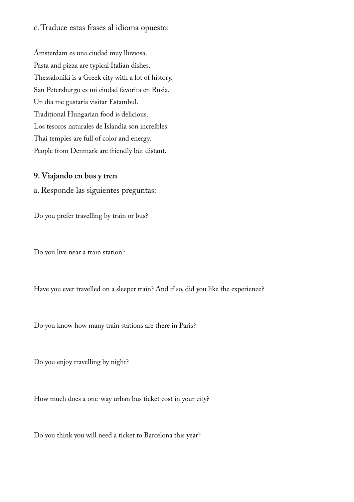c. Traduce estas frases al idioma opuesto:

Ámsterdam es una ciudad muy lluviosa. Pasta and pizza are typical Italian dishes. Thessaloniki is a Greek city with a lot of history. San Petersburgo es mi ciudad favorita en Rusia. Un día me gustaría visitar Estambul. Traditional Hungarian food is delicious. Los tesoros naturales de Islandia son increíbles. Thai temples are full of color and energy. People from Denmark are friendly but distant.

#### **9. Viajando en bus y tren**

a. Responde las siguientes preguntas:

Do you prefer travelling by train or bus?

Do you live near a train station?

Have you ever travelled on a sleeper train? And if so, did you like the experience?

Do you know how many train stations are there in Paris?

Do you enjoy travelling by night?

How much does a one-way urban bus ticket cost in your city?

Do you think you will need a ticket to Barcelona this year?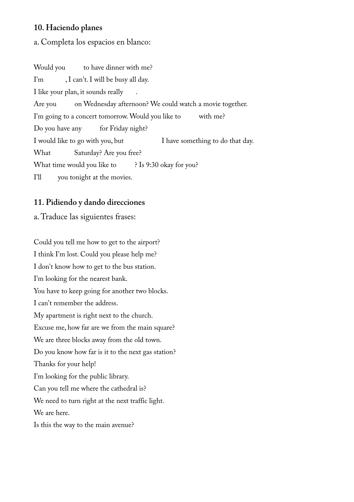#### **10. Haciendo planes**

a. Completa los espacios en blanco:

Would you to have dinner with me? I'm , I can't. I will be busy all day. I like your plan, it sounds really . Are you on Wednesday afternoon? We could watch a movie together. I'm going to a concert tomorrow. Would you like to with me? Do you have any for Friday night? I would like to go with you, but I have something to do that day. What Saturday? Are you free? What time would you like to ? Is 9:30 okay for you? I'll you tonight at the movies.

#### **11. Pidiendo y dando direcciones**

a. Traduce las siguientes frases:

Could you tell me how to get to the airport? I think I'm lost. Could you please help me? I don't know how to get to the bus station. I'm looking for the nearest bank. You have to keep going for another two blocks. I can't remember the address. My apartment is right next to the church. Excuse me, how far are we from the main square? We are three blocks away from the old town. Do you know how far is it to the next gas station? Thanks for your help! I'm looking for the public library. Can you tell me where the cathedral is? We need to turn right at the next traffic light. We are here. Is this the way to the main avenue?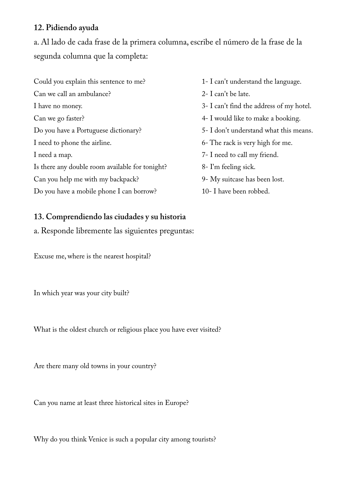## **12. Pidiendo ayuda**

a. Al lado de cada frase de la primera columna, escribe el número de la frase de la segunda columna que la completa:

- Could you explain this sentence to me? 1- I can't understand the language. Can we call an ambulance? 2- I can't be late. I have no money. 3- I can't find the address of my hotel. Can we go faster? 4- I would like to make a booking. Do you have a Portuguese dictionary? 5- I don't understand what this means. I need to phone the airline.  $\overline{6}$ - The rack is very high for me. I need a map.  $7 - I$  need to call my friend. Is there any double room available for tonight? 8- I'm feeling sick. Can you help me with my backpack? 9- My suitcase has been lost.
- Do you have a mobile phone I can borrow? 10- I have been robbed.

### **13. Comprendiendo las ciudades y su historia**

a. Responde libremente las siguientes preguntas:

Excuse me, where is the nearest hospital?

In which year was your city built?

What is the oldest church or religious place you have ever visited?

Are there many old towns in your country?

Can you name at least three historical sites in Europe?

Why do you think Venice is such a popular city among tourists?